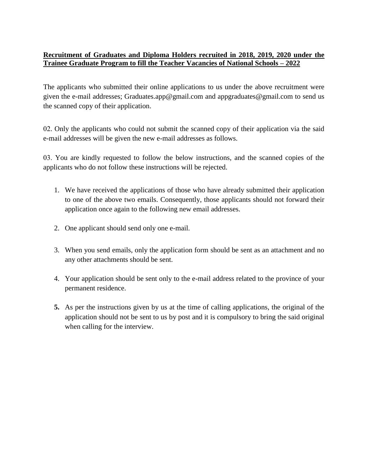## **Recruitment of Graduates and Diploma Holders recruited in 2018, 2019, 2020 under the Trainee Graduate Program to fill the Teacher Vacancies of National Schools – 2022**

The applicants who submitted their online applications to us under the above recruitment were given the e-mail addresses; Graduates.app@gmail.com and appgraduates@gmail.com to send us the scanned copy of their application.

02. Only the applicants who could not submit the scanned copy of their application via the said e-mail addresses will be given the new e-mail addresses as follows.

03. You are kindly requested to follow the below instructions, and the scanned copies of the applicants who do not follow these instructions will be rejected.

- 1. We have received the applications of those who have already submitted their application to one of the above two emails. Consequently, those applicants should not forward their application once again to the following new email addresses.
- 2. One applicant should send only one e-mail.
- 3. When you send emails, only the application form should be sent as an attachment and no any other attachments should be sent.
- 4. Your application should be sent only to the e-mail address related to the province of your permanent residence.
- **5.** As per the instructions given by us at the time of calling applications, the original of the application should not be sent to us by post and it is compulsory to bring the said original when calling for the interview.